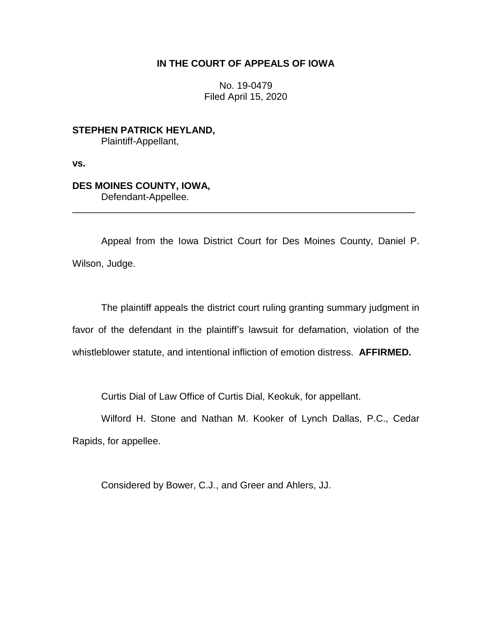## **IN THE COURT OF APPEALS OF IOWA**

No. 19-0479 Filed April 15, 2020

**STEPHEN PATRICK HEYLAND,** Plaintiff-Appellant,

**vs.**

## **DES MOINES COUNTY, IOWA,** Defendant-Appellee.

Appeal from the Iowa District Court for Des Moines County, Daniel P. Wilson, Judge.

\_\_\_\_\_\_\_\_\_\_\_\_\_\_\_\_\_\_\_\_\_\_\_\_\_\_\_\_\_\_\_\_\_\_\_\_\_\_\_\_\_\_\_\_\_\_\_\_\_\_\_\_\_\_\_\_\_\_\_\_\_\_\_\_

The plaintiff appeals the district court ruling granting summary judgment in favor of the defendant in the plaintiff's lawsuit for defamation, violation of the whistleblower statute, and intentional infliction of emotion distress. **AFFIRMED.**

Curtis Dial of Law Office of Curtis Dial, Keokuk, for appellant.

Wilford H. Stone and Nathan M. Kooker of Lynch Dallas, P.C., Cedar Rapids, for appellee.

Considered by Bower, C.J., and Greer and Ahlers, JJ.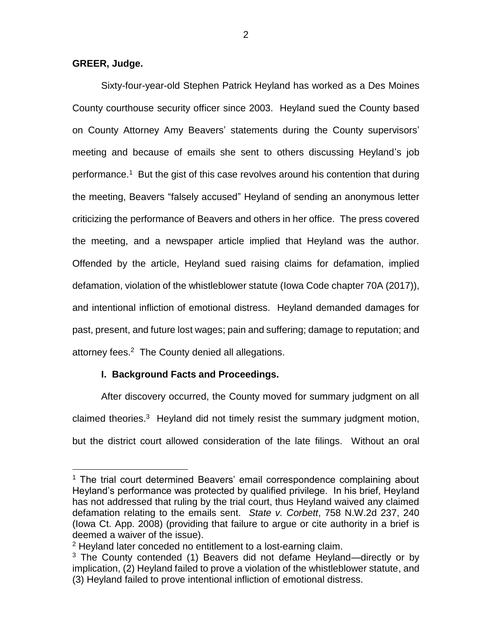### **GREER, Judge.**

 $\overline{a}$ 

Sixty-four-year-old Stephen Patrick Heyland has worked as a Des Moines County courthouse security officer since 2003. Heyland sued the County based on County Attorney Amy Beavers' statements during the County supervisors' meeting and because of emails she sent to others discussing Heyland's job performance.<sup>1</sup> But the gist of this case revolves around his contention that during the meeting, Beavers "falsely accused" Heyland of sending an anonymous letter criticizing the performance of Beavers and others in her office. The press covered the meeting, and a newspaper article implied that Heyland was the author. Offended by the article, Heyland sued raising claims for defamation, implied defamation, violation of the whistleblower statute (Iowa Code chapter 70A (2017)), and intentional infliction of emotional distress. Heyland demanded damages for past, present, and future lost wages; pain and suffering; damage to reputation; and attorney fees.<sup>2</sup> The County denied all allegations.

# **I. Background Facts and Proceedings.**

After discovery occurred, the County moved for summary judgment on all claimed theories.<sup>3</sup> Heyland did not timely resist the summary judgment motion, but the district court allowed consideration of the late filings. Without an oral

<sup>&</sup>lt;sup>1</sup> The trial court determined Beavers' email correspondence complaining about Heyland's performance was protected by qualified privilege. In his brief, Heyland has not addressed that ruling by the trial court, thus Heyland waived any claimed defamation relating to the emails sent. *State v. Corbett*, 758 N.W.2d 237, 240 (Iowa Ct. App. 2008) (providing that failure to argue or cite authority in a brief is deemed a waiver of the issue).

<sup>&</sup>lt;sup>2</sup> Heyland later conceded no entitlement to a lost-earning claim.

 $3$  The County contended (1) Beavers did not defame Heyland—directly or by implication, (2) Heyland failed to prove a violation of the whistleblower statute, and (3) Heyland failed to prove intentional infliction of emotional distress.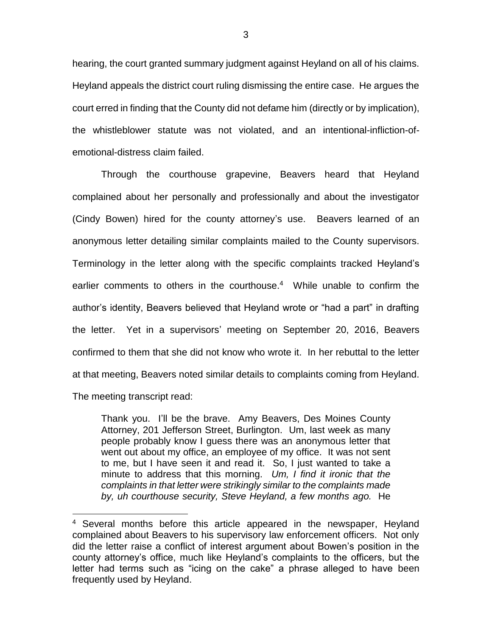hearing, the court granted summary judgment against Heyland on all of his claims. Heyland appeals the district court ruling dismissing the entire case. He argues the court erred in finding that the County did not defame him (directly or by implication), the whistleblower statute was not violated, and an intentional-infliction-ofemotional-distress claim failed.

Through the courthouse grapevine, Beavers heard that Heyland complained about her personally and professionally and about the investigator (Cindy Bowen) hired for the county attorney's use. Beavers learned of an anonymous letter detailing similar complaints mailed to the County supervisors. Terminology in the letter along with the specific complaints tracked Heyland's earlier comments to others in the courthouse.<sup>4</sup> While unable to confirm the author's identity, Beavers believed that Heyland wrote or "had a part" in drafting the letter. Yet in a supervisors' meeting on September 20, 2016, Beavers confirmed to them that she did not know who wrote it. In her rebuttal to the letter at that meeting, Beavers noted similar details to complaints coming from Heyland. The meeting transcript read:

Thank you. I'll be the brave. Amy Beavers, Des Moines County Attorney, 201 Jefferson Street, Burlington. Um, last week as many people probably know I guess there was an anonymous letter that went out about my office, an employee of my office. It was not sent to me, but I have seen it and read it. So, I just wanted to take a minute to address that this morning. *Um, I find it ironic that the complaints in that letter were strikingly similar to the complaints made by, uh courthouse security, Steve Heyland, a few months ago.* He

<sup>4</sup> Several months before this article appeared in the newspaper, Heyland complained about Beavers to his supervisory law enforcement officers. Not only did the letter raise a conflict of interest argument about Bowen's position in the county attorney's office, much like Heyland's complaints to the officers, but the letter had terms such as "icing on the cake" a phrase alleged to have been frequently used by Heyland.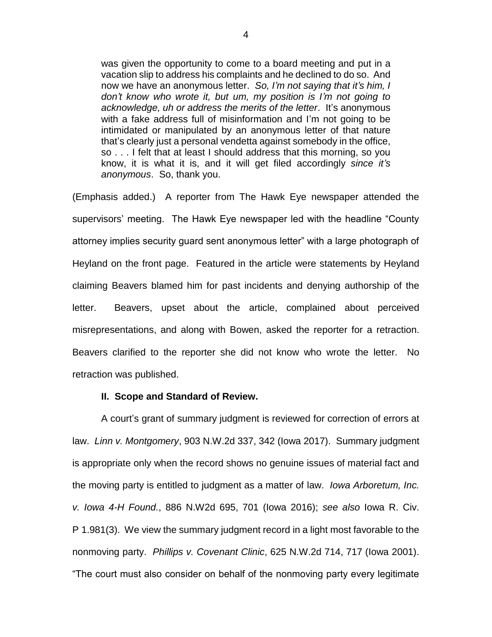was given the opportunity to come to a board meeting and put in a vacation slip to address his complaints and he declined to do so. And now we have an anonymous letter. *So, I'm not saying that it's him, I don't know who wrote it, but um, my position is I'm not going to acknowledge, uh or address the merits of the letter*. It's anonymous with a fake address full of misinformation and I'm not going to be intimidated or manipulated by an anonymous letter of that nature that's clearly just a personal vendetta against somebody in the office, so . . . I felt that at least I should address that this morning, so you know, it is what it is, and it will get filed accordingly *since it's anonymous*. So, thank you.

(Emphasis added.) A reporter from The Hawk Eye newspaper attended the supervisors' meeting. The Hawk Eye newspaper led with the headline "County attorney implies security guard sent anonymous letter" with a large photograph of Heyland on the front page. Featured in the article were statements by Heyland claiming Beavers blamed him for past incidents and denying authorship of the letter. Beavers, upset about the article, complained about perceived misrepresentations, and along with Bowen, asked the reporter for a retraction. Beavers clarified to the reporter she did not know who wrote the letter. No retraction was published.

#### **II. Scope and Standard of Review.**

A court's grant of summary judgment is reviewed for correction of errors at law. *Linn v. Montgomery*, 903 N.W.2d 337, 342 (Iowa 2017). Summary judgment is appropriate only when the record shows no genuine issues of material fact and the moving party is entitled to judgment as a matter of law. *Iowa Arboretum, Inc. v. Iowa 4-H Found.*, 886 N.W2d 695, 701 (Iowa 2016); *see also* Iowa R. Civ. P 1.981(3). We view the summary judgment record in a light most favorable to the nonmoving party. *Phillips v. Covenant Clinic*, 625 N.W.2d 714, 717 (Iowa 2001). "The court must also consider on behalf of the nonmoving party every legitimate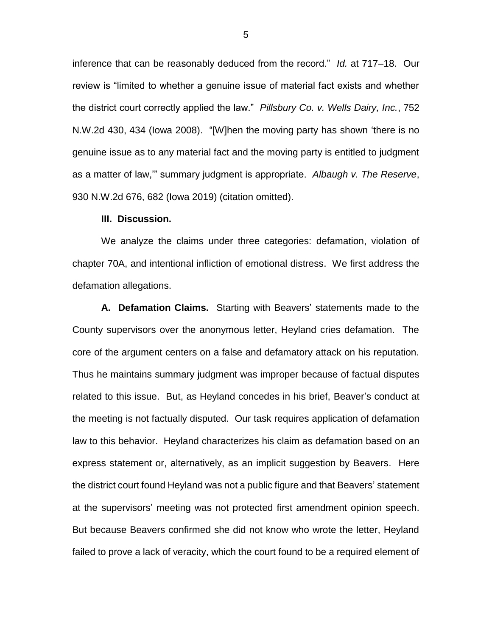inference that can be reasonably deduced from the record." *Id.* at 717–18. Our review is "limited to whether a genuine issue of material fact exists and whether the district court correctly applied the law." *Pillsbury Co. v. Wells Dairy, Inc.*, 752 N.W.2d 430, 434 (Iowa 2008). "[W]hen the moving party has shown 'there is no genuine issue as to any material fact and the moving party is entitled to judgment as a matter of law,'" summary judgment is appropriate. *Albaugh v. The Reserve*, 930 N.W.2d 676, 682 (Iowa 2019) (citation omitted).

#### **III. Discussion.**

We analyze the claims under three categories: defamation, violation of chapter 70A, and intentional infliction of emotional distress. We first address the defamation allegations.

**A. Defamation Claims.** Starting with Beavers' statements made to the County supervisors over the anonymous letter, Heyland cries defamation. The core of the argument centers on a false and defamatory attack on his reputation. Thus he maintains summary judgment was improper because of factual disputes related to this issue. But, as Heyland concedes in his brief, Beaver's conduct at the meeting is not factually disputed. Our task requires application of defamation law to this behavior. Heyland characterizes his claim as defamation based on an express statement or, alternatively, as an implicit suggestion by Beavers. Here the district court found Heyland was not a public figure and that Beavers' statement at the supervisors' meeting was not protected first amendment opinion speech. But because Beavers confirmed she did not know who wrote the letter, Heyland failed to prove a lack of veracity, which the court found to be a required element of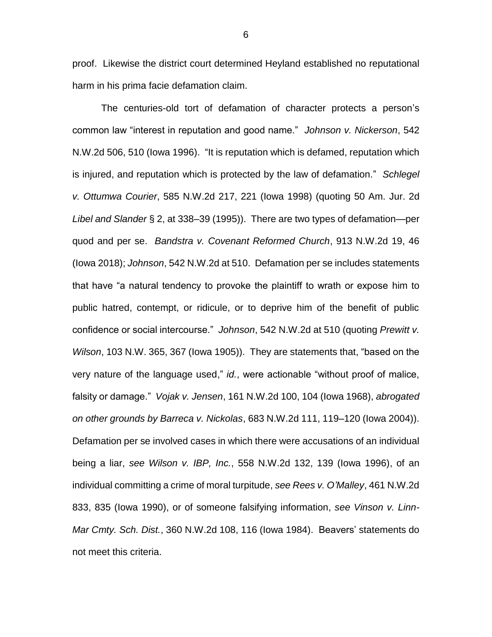proof. Likewise the district court determined Heyland established no reputational harm in his prima facie defamation claim.

The centuries-old tort of defamation of character protects a person's common law "interest in reputation and good name." *Johnson v. Nickerson*, 542 N.W.2d 506, 510 (Iowa 1996). "It is reputation which is defamed, reputation which is injured, and reputation which is protected by the law of defamation." *Schlegel v. Ottumwa Courier*, 585 N.W.2d 217, 221 (Iowa 1998) (quoting 50 Am. Jur. 2d *Libel and Slander* § 2, at 338–39 (1995)). There are two types of defamation—per quod and per se. *Bandstra v. Covenant Reformed Church*, 913 N.W.2d 19, 46 (Iowa 2018); *Johnson*, 542 N.W.2d at 510. Defamation per se includes statements that have "a natural tendency to provoke the plaintiff to wrath or expose him to public hatred, contempt, or ridicule, or to deprive him of the benefit of public confidence or social intercourse." *Johnson*, 542 N.W.2d at 510 (quoting *Prewitt v. Wilson*, 103 N.W. 365, 367 (Iowa 1905)). They are statements that, "based on the very nature of the language used," *id.*, were actionable "without proof of malice, falsity or damage." *Vojak v. Jensen*, 161 N.W.2d 100, 104 (Iowa 1968), *abrogated on other grounds by Barreca v. Nickolas*, 683 N.W.2d 111, 119–120 (Iowa 2004)). Defamation per se involved cases in which there were accusations of an individual being a liar, *see Wilson v. IBP, Inc.*, 558 N.W.2d 132, 139 (Iowa 1996), of an individual committing a crime of moral turpitude, *see Rees v. O'Malley*, 461 N.W.2d 833, 835 (Iowa 1990), or of someone falsifying information, *see Vinson v. Linn-Mar Cmty. Sch. Dist.*, 360 N.W.2d 108, 116 (Iowa 1984). Beavers' statements do not meet this criteria.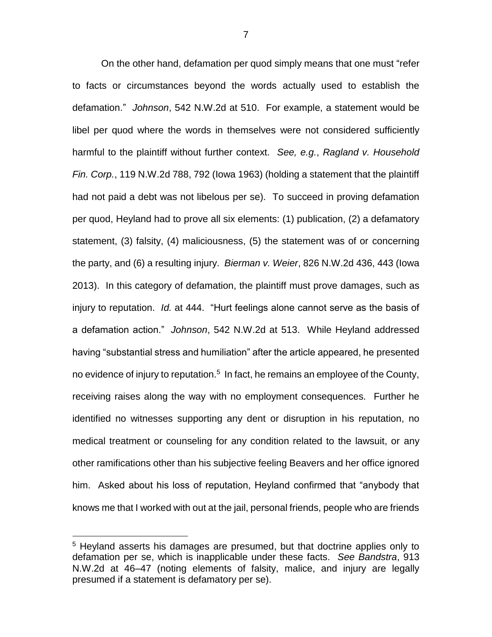On the other hand, defamation per quod simply means that one must "refer to facts or circumstances beyond the words actually used to establish the defamation." *Johnson*, 542 N.W.2d at 510. For example, a statement would be libel per quod where the words in themselves were not considered sufficiently harmful to the plaintiff without further context. *See, e.g.*, *Ragland v. Household Fin. Corp.*, 119 N.W.2d 788, 792 (Iowa 1963) (holding a statement that the plaintiff had not paid a debt was not libelous per se). To succeed in proving defamation per quod, Heyland had to prove all six elements: (1) publication, (2) a defamatory statement, (3) falsity, (4) maliciousness, (5) the statement was of or concerning the party, and (6) a resulting injury. *Bierman v. Weier*, 826 N.W.2d 436, 443 (Iowa 2013). In this category of defamation, the plaintiff must prove damages, such as injury to reputation. *Id.* at 444. "Hurt feelings alone cannot serve as the basis of a defamation action." *Johnson*, 542 N.W.2d at 513. While Heyland addressed having "substantial stress and humiliation" after the article appeared, he presented no evidence of injury to reputation.<sup>5</sup> In fact, he remains an employee of the County, receiving raises along the way with no employment consequences. Further he identified no witnesses supporting any dent or disruption in his reputation, no medical treatment or counseling for any condition related to the lawsuit, or any other ramifications other than his subjective feeling Beavers and her office ignored him. Asked about his loss of reputation, Heyland confirmed that "anybody that knows me that I worked with out at the jail, personal friends, people who are friends

<sup>&</sup>lt;sup>5</sup> Heyland asserts his damages are presumed, but that doctrine applies only to defamation per se, which is inapplicable under these facts. *See Bandstra*, 913 N.W.2d at 46–47 (noting elements of falsity, malice, and injury are legally presumed if a statement is defamatory per se).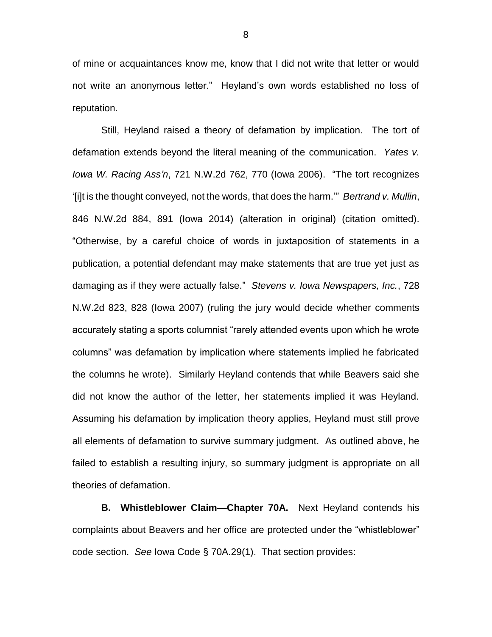of mine or acquaintances know me, know that I did not write that letter or would not write an anonymous letter." Heyland's own words established no loss of reputation.

Still, Heyland raised a theory of defamation by implication. The tort of defamation extends beyond the literal meaning of the communication. *Yates v. Iowa W. Racing Ass'n*, 721 N.W.2d 762, 770 (Iowa 2006). "The tort recognizes '[i]t is the thought conveyed, not the words, that does the harm.'" *Bertrand v. Mullin*, 846 N.W.2d 884, 891 (Iowa 2014) (alteration in original) (citation omitted). "Otherwise, by a careful choice of words in juxtaposition of statements in a publication, a potential defendant may make statements that are true yet just as damaging as if they were actually false." *Stevens v. Iowa Newspapers, Inc.*, 728 N.W.2d 823, 828 (Iowa 2007) (ruling the jury would decide whether comments accurately stating a sports columnist "rarely attended events upon which he wrote columns" was defamation by implication where statements implied he fabricated the columns he wrote). Similarly Heyland contends that while Beavers said she did not know the author of the letter, her statements implied it was Heyland. Assuming his defamation by implication theory applies, Heyland must still prove all elements of defamation to survive summary judgment. As outlined above, he failed to establish a resulting injury, so summary judgment is appropriate on all theories of defamation.

**B. Whistleblower Claim—Chapter 70A.** Next Heyland contends his complaints about Beavers and her office are protected under the "whistleblower" code section. *See* Iowa Code § 70A.29(1). That section provides: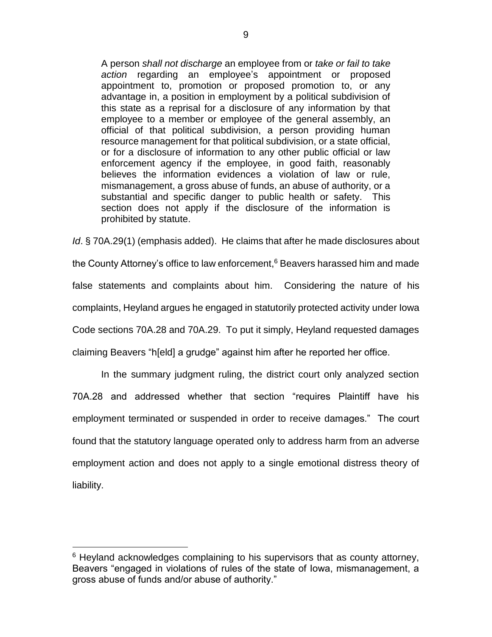A person *shall not discharge* an employee from or *take or fail to take action* regarding an employee's appointment or proposed appointment to, promotion or proposed promotion to, or any advantage in, a position in employment by a political subdivision of this state as a reprisal for a disclosure of any information by that employee to a member or employee of the general assembly, an official of that political subdivision, a person providing human resource management for that political subdivision, or a state official, or for a disclosure of information to any other public official or law enforcement agency if the employee, in good faith, reasonably believes the information evidences a violation of law or rule, mismanagement, a gross abuse of funds, an abuse of authority, or a substantial and specific danger to public health or safety. This section does not apply if the disclosure of the information is prohibited by statute.

*Id*. § 70A.29(1) (emphasis added). He claims that after he made disclosures about the County Attorney's office to law enforcement,<sup>6</sup> Beavers harassed him and made false statements and complaints about him. Considering the nature of his complaints, Heyland argues he engaged in statutorily protected activity under Iowa Code sections 70A.28 and 70A.29. To put it simply, Heyland requested damages claiming Beavers "h[eld] a grudge" against him after he reported her office.

In the summary judgment ruling, the district court only analyzed section 70A.28 and addressed whether that section "requires Plaintiff have his employment terminated or suspended in order to receive damages." The court found that the statutory language operated only to address harm from an adverse employment action and does not apply to a single emotional distress theory of liability.

 $6$  Heyland acknowledges complaining to his supervisors that as county attorney, Beavers "engaged in violations of rules of the state of Iowa, mismanagement, a gross abuse of funds and/or abuse of authority."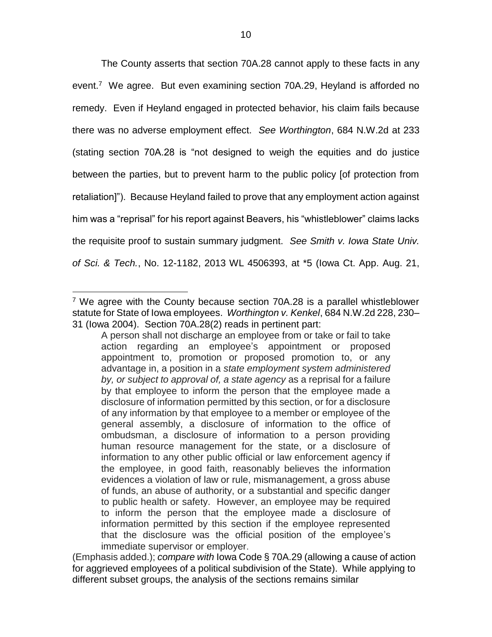The County asserts that section 70A.28 cannot apply to these facts in any event.<sup>7</sup> We agree. But even examining section 70A.29, Heyland is afforded no remedy. Even if Heyland engaged in protected behavior, his claim fails because there was no adverse employment effect. *See Worthington*, 684 N.W.2d at 233 (stating section 70A.28 is "not designed to weigh the equities and do justice between the parties, but to prevent harm to the public policy [of protection from retaliation]"). Because Heyland failed to prove that any employment action against him was a "reprisal" for his report against Beavers, his "whistleblower" claims lacks the requisite proof to sustain summary judgment. *See Smith v. Iowa State Univ. of Sci. & Tech.*, No. 12-1182, 2013 WL 4506393, at \*5 (Iowa Ct. App. Aug. 21,

<sup>&</sup>lt;sup>7</sup> We agree with the County because section 70A.28 is a parallel whistleblower statute for State of Iowa employees. *Worthington v. Kenkel*, 684 N.W.2d 228, 230– 31 (Iowa 2004). Section 70A.28(2) reads in pertinent part:

A person shall not discharge an employee from or take or fail to take action regarding an employee's appointment or proposed appointment to, promotion or proposed promotion to, or any advantage in, a position in a *state employment system administered by, or subject to approval of, a state agency* as a reprisal for a failure by that employee to inform the person that the employee made a disclosure of information permitted by this section, or for a disclosure of any information by that employee to a member or employee of the general assembly, a disclosure of information to the office of ombudsman, a disclosure of information to a person providing human resource management for the state, or a disclosure of information to any other public official or law enforcement agency if the employee, in good faith, reasonably believes the information evidences a violation of law or rule, mismanagement, a gross abuse of funds, an abuse of authority, or a substantial and specific danger to public health or safety. However, an employee may be required to inform the person that the employee made a disclosure of information permitted by this section if the employee represented that the disclosure was the official position of the employee's immediate supervisor or employer.

<sup>(</sup>Emphasis added.); *compare with* Iowa Code § 70A.29 (allowing a cause of action for aggrieved employees of a political subdivision of the State). While applying to different subset groups, the analysis of the sections remains similar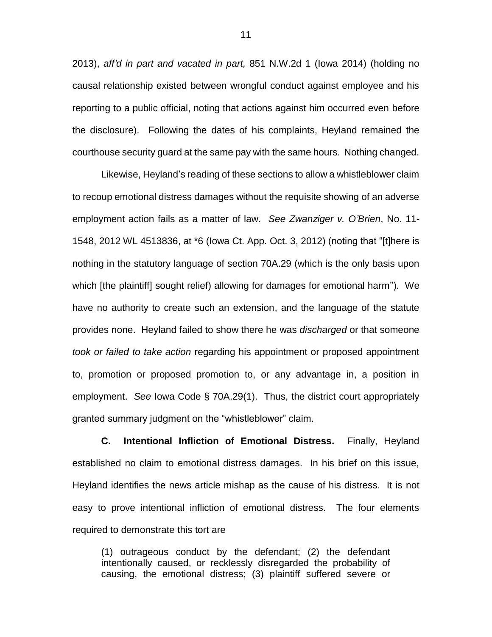2013), *aff'd in part and vacated in part,* 851 N.W.2d 1 (Iowa 2014) (holding no causal relationship existed between wrongful conduct against employee and his reporting to a public official, noting that actions against him occurred even before the disclosure). Following the dates of his complaints, Heyland remained the courthouse security guard at the same pay with the same hours. Nothing changed.

Likewise, Heyland's reading of these sections to allow a whistleblower claim to recoup emotional distress damages without the requisite showing of an adverse employment action fails as a matter of law. *See Zwanziger v. O'Brien*, No. 11- 1548, 2012 WL 4513836, at \*6 (Iowa Ct. App. Oct. 3, 2012) (noting that "[t]here is nothing in the statutory language of section 70A.29 (which is the only basis upon which [the plaintiff] sought relief) allowing for damages for emotional harm"). We have no authority to create such an extension, and the language of the statute provides none. Heyland failed to show there he was *discharged* or that someone *took or failed to take action* regarding his appointment or proposed appointment to, promotion or proposed promotion to, or any advantage in, a position in employment. *See* Iowa Code § 70A.29(1). Thus, the district court appropriately granted summary judgment on the "whistleblower" claim.

**C. Intentional Infliction of Emotional Distress.** Finally, Heyland established no claim to emotional distress damages. In his brief on this issue, Heyland identifies the news article mishap as the cause of his distress. It is not easy to prove intentional infliction of emotional distress. The four elements required to demonstrate this tort are

(1) outrageous conduct by the defendant; (2) the defendant intentionally caused, or recklessly disregarded the probability of causing, the emotional distress; (3) plaintiff suffered severe or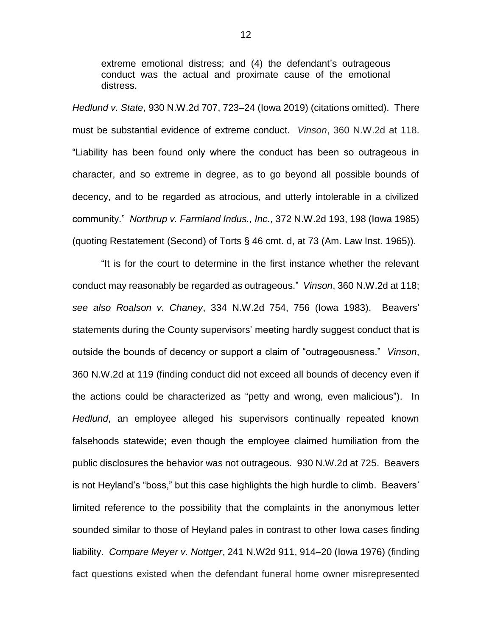extreme emotional distress; and (4) the defendant's outrageous conduct was the actual and proximate cause of the emotional distress.

*Hedlund v. State*, 930 N.W.2d 707, 723–24 (Iowa 2019) (citations omitted). There must be substantial evidence of extreme conduct. *Vinson*, 360 N.W.2d at 118. "Liability has been found only where the conduct has been so outrageous in character, and so extreme in degree, as to go beyond all possible bounds of decency, and to be regarded as atrocious, and utterly intolerable in a civilized community." *Northrup v. Farmland Indus., Inc.*, 372 N.W.2d 193, 198 (Iowa 1985) (quoting Restatement (Second) of Torts § 46 cmt. d, at 73 (Am. Law Inst. 1965)).

"It is for the court to determine in the first instance whether the relevant conduct may reasonably be regarded as outrageous." *Vinson*, 360 N.W.2d at 118; *see also Roalson v. Chaney*, 334 N.W.2d 754, 756 (Iowa 1983). Beavers' statements during the County supervisors' meeting hardly suggest conduct that is outside the bounds of decency or support a claim of "outrageousness." *Vinson*, 360 N.W.2d at 119 (finding conduct did not exceed all bounds of decency even if the actions could be characterized as "petty and wrong, even malicious"). In *Hedlund*, an employee alleged his supervisors continually repeated known falsehoods statewide; even though the employee claimed humiliation from the public disclosures the behavior was not outrageous. 930 N.W.2d at 725. Beavers is not Heyland's "boss," but this case highlights the high hurdle to climb. Beavers' limited reference to the possibility that the complaints in the anonymous letter sounded similar to those of Heyland pales in contrast to other Iowa cases finding liability. *Compare Meyer v. Nottger*, 241 N.W2d 911, 914–20 (Iowa 1976) (finding fact questions existed when the defendant funeral home owner misrepresented